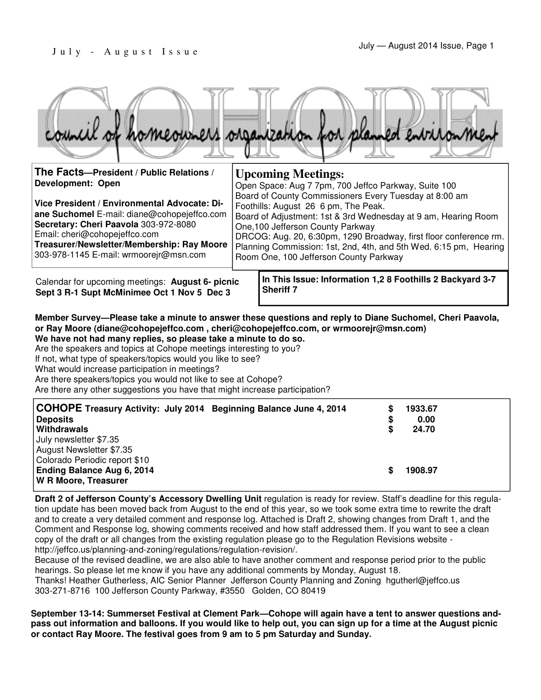| ouncil of homeowners organization for planned environmen                                                                                                                                                                                                                                                                                 |                                                                                                                                                                                                                                                                                                                                                                                                                                                                                |                                                                               |  |  |  |  |
|------------------------------------------------------------------------------------------------------------------------------------------------------------------------------------------------------------------------------------------------------------------------------------------------------------------------------------------|--------------------------------------------------------------------------------------------------------------------------------------------------------------------------------------------------------------------------------------------------------------------------------------------------------------------------------------------------------------------------------------------------------------------------------------------------------------------------------|-------------------------------------------------------------------------------|--|--|--|--|
| The Facts--President / Public Relations /<br><b>Development: Open</b><br>Vice President / Environmental Advocate: Di-<br>ane Suchomel E-mail: diane@cohopejeffco.com<br>Secretary: Cheri Paavola 303-972-8080<br>Email: cheri@cohopejeffco.com<br>Treasurer/Newsletter/Membership: Ray Moore<br>303-978-1145 E-mail: wrmoorejr@msn.com   | <b>Upcoming Meetings:</b><br>Open Space: Aug 7 7pm, 700 Jeffco Parkway, Suite 100<br>Board of County Commissioners Every Tuesday at 8:00 am<br>Foothills: August 26 6 pm, The Peak.<br>Board of Adjustment: 1st & 3rd Wednesday at 9 am, Hearing Room<br>One, 100 Jefferson County Parkway<br>DRCOG: Aug. 20, 6:30pm, 1290 Broadway, first floor conference rm.<br>Planning Commission: 1st, 2nd, 4th, and 5th Wed. 6:15 pm, Hearing<br>Room One, 100 Jefferson County Parkway |                                                                               |  |  |  |  |
| Calendar for upcoming meetings: August 6- picnic<br>Sept 3 R-1 Supt McMinimee Oct 1 Nov 5 Dec 3                                                                                                                                                                                                                                          |                                                                                                                                                                                                                                                                                                                                                                                                                                                                                | In This Issue: Information 1,2 8 Foothills 2 Backyard 3-7<br><b>Sheriff 7</b> |  |  |  |  |
| Member Survey-Please take a minute to answer these questions and reply to Diane Suchomel, Cheri Paavola,<br>or Ray Moore (diane@cohopejeffco.com, cheri@cohopejeffco.com, or wrmoorejr@msn.com)<br>We have not had many replies, so please take a minute to do so.<br>Are the speakers and topics at Cohope meetings interesting to you? |                                                                                                                                                                                                                                                                                                                                                                                                                                                                                |                                                                               |  |  |  |  |

If not, what type of speakers/topics would you like to see?

What would increase participation in meetings?

Are there speakers/topics you would not like to see at Cohope?

Are there any other suggestions you have that might increase participation?

| COHOPE Treasury Activity: July 2014 Beginning Balance June 4, 2014 | S  | 1933.67 |
|--------------------------------------------------------------------|----|---------|
| <b>Deposits</b>                                                    | \$ | 0.00    |
| Withdrawals                                                        | \$ | 24.70   |
| July newsletter \$7.35                                             |    |         |
| August Newsletter \$7.35                                           |    |         |
| Colorado Periodic report \$10                                      |    |         |
| Ending Balance Aug 6, 2014                                         | S  | 1908.97 |
| <b>W R Moore, Treasurer</b>                                        |    |         |

**Draft 2 of Jefferson County's Accessory Dwelling Unit regulation is ready for review. Staff's deadline for this regula**tion update has been moved back from August to the end of this year, so we took some extra time to rewrite the draft and to create a very detailed comment and response log. Attached is Draft 2, showing changes from Draft 1, and the Comment and Response log, showing comments received and how staff addressed them. If you want to see a clean copy of the draft or all changes from the existing regulation please go to the Regulation Revisions website http://jeffco.us/planning-and-zoning/regulations/regulation-revision/.

Because of the revised deadline, we are also able to have another comment and response period prior to the public hearings. So please let me know if you have any additional comments by Monday, August 18. Thanks! Heather Gutherless, AIC Senior Planner Jefferson County Planning and Zoning hgutherl@jeffco.us

303-271-8716 100 Jefferson County Parkway, #3550 Golden, CO 80419

**September 13-14: Summerset Festival at Clement Park—Cohope will again have a tent to answer questions andpass out information and balloons. If you would like to help out, you can sign up for a time at the August picnic or contact Ray Moore. The festival goes from 9 am to 5 pm Saturday and Sunday.**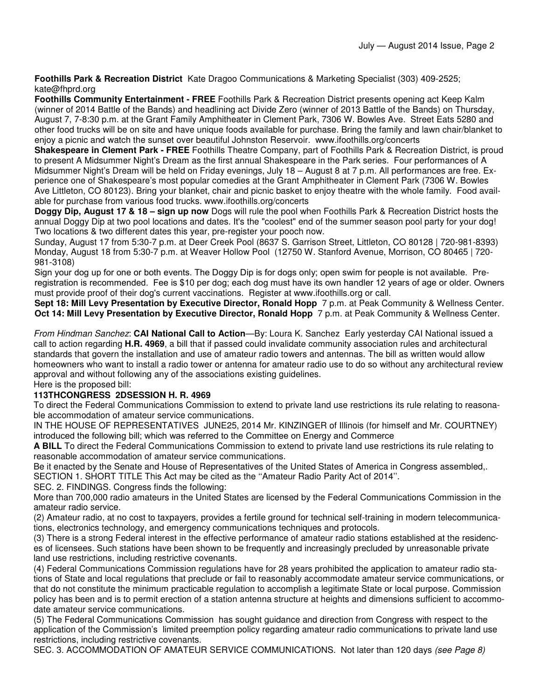**Foothills Park & Recreation District** Kate Dragoo Communications & Marketing Specialist (303) 409-2525; kate@fhprd.org

**Foothills Community Entertainment - FREE** Foothills Park & Recreation District presents opening act Keep Kalm (winner of 2014 Battle of the Bands) and headlining act Divide Zero (winner of 2013 Battle of the Bands) on Thursday, August 7, 7-8:30 p.m. at the Grant Family Amphitheater in Clement Park, 7306 W. Bowles Ave. Street Eats 5280 and other food trucks will be on site and have unique foods available for purchase. Bring the family and lawn chair/blanket to enjoy a picnic and watch the sunset over beautiful Johnston Reservoir. www.ifoothills.org/concerts

**Shakespeare in Clement Park - FREE** Foothills Theatre Company, part of Foothills Park & Recreation District, is proud to present A Midsummer Night's Dream as the first annual Shakespeare in the Park series. Four performances of A Midsummer Night's Dream will be held on Friday evenings, July 18 – August 8 at 7 p.m. All performances are free. Experience one of Shakespeare's most popular comedies at the Grant Amphitheater in Clement Park (7306 W. Bowles Ave Littleton, CO 80123). Bring your blanket, chair and picnic basket to enjoy theatre with the whole family. Food available for purchase from various food trucks. www.ifoothills.org/concerts

**Doggy Dip, August 17 & 18 – sign up now** Dogs will rule the pool when Foothills Park & Recreation District hosts the annual Doggy Dip at two pool locations and dates. It's the "coolest" end of the summer season pool party for your dog! Two locations & two different dates this year, pre-register your pooch now.

Sunday, August 17 from 5:30-7 p.m. at Deer Creek Pool (8637 S. Garrison Street, Littleton, CO 80128 | 720-981-8393) Monday, August 18 from 5:30-7 p.m. at Weaver Hollow Pool (12750 W. Stanford Avenue, Morrison, CO 80465 | 720- 981-3108)

Sign your dog up for one or both events. The Doggy Dip is for dogs only; open swim for people is not available. Preregistration is recommended. Fee is \$10 per dog; each dog must have its own handler 12 years of age or older. Owners must provide proof of their dog's current vaccinations. Register at www.ifoothills.org or call.

**Sept 18: Mill Levy Presentation by Executive Director, Ronald Hopp** 7 p.m. at Peak Community & Wellness Center. **Oct 14: Mill Levy Presentation by Executive Director, Ronald Hopp** 7 p.m. at Peak Community & Wellness Center.

From Hindman Sanchez: **CAI National Call to Action**—By: Loura K. Sanchez Early yesterday CAI National issued a call to action regarding **H.R. 4969**, a bill that if passed could invalidate community association rules and architectural standards that govern the installation and use of amateur radio towers and antennas. The bill as written would allow homeowners who want to install a radio tower or antenna for amateur radio use to do so without any architectural review approval and without following any of the associations existing guidelines.

#### Here is the proposed bill: **113THCONGRESS 2DSESSION H. R. 4969**

To direct the Federal Communications Commission to extend to private land use restrictions its rule relating to reasonable accommodation of amateur service communications.

IN THE HOUSE OF REPRESENTATIVES JUNE25, 2014 Mr. KINZINGER of Illinois (for himself and Mr. COURTNEY) introduced the following bill; which was referred to the Committee on Energy and Commerce

**A BILL** To direct the Federal Communications Commission to extend to private land use restrictions its rule relating to reasonable accommodation of amateur service communications.

Be it enacted by the Senate and House of Representatives of the United States of America in Congress assembled,. SECTION 1. SHORT TITLE This Act may be cited as the ''Amateur Radio Parity Act of 2014''.

SEC. 2. FINDINGS. Congress finds the following:

More than 700,000 radio amateurs in the United States are licensed by the Federal Communications Commission in the amateur radio service.

(2) Amateur radio, at no cost to taxpayers, provides a fertile ground for technical self-training in modern telecommunications, electronics technology, and emergency communications techniques and protocols.

(3) There is a strong Federal interest in the effective performance of amateur radio stations established at the residences of licensees. Such stations have been shown to be frequently and increasingly precluded by unreasonable private land use restrictions, including restrictive covenants.

(4) Federal Communications Commission regulations have for 28 years prohibited the application to amateur radio stations of State and local regulations that preclude or fail to reasonably accommodate amateur service communications, or that do not constitute the minimum practicable regulation to accomplish a legitimate State or local purpose. Commission policy has been and is to permit erection of a station antenna structure at heights and dimensions sufficient to accommodate amateur service communications.

(5) The Federal Communications Commission has sought guidance and direction from Congress with respect to the application of the Commission's limited preemption policy regarding amateur radio communications to private land use restrictions, including restrictive covenants.

SEC. 3. ACCOMMODATION OF AMATEUR SERVICE COMMUNICATIONS. Not later than 120 days (see Page 8)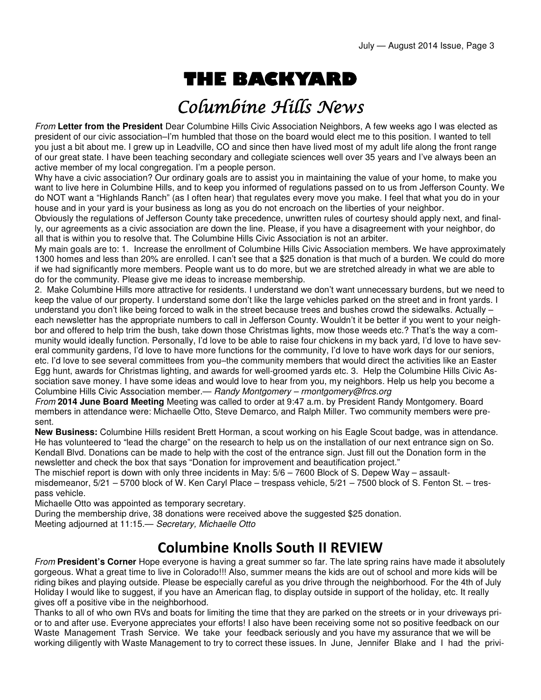# THE BACKYARD

## Columbine Hills News

From **Letter from the President** Dear Columbine Hills Civic Association Neighbors, A few weeks ago I was elected as president of our civic association–I'm humbled that those on the board would elect me to this position. I wanted to tell you just a bit about me. I grew up in Leadville, CO and since then have lived most of my adult life along the front range of our great state. I have been teaching secondary and collegiate sciences well over 35 years and I've always been an active member of my local congregation. I'm a people person.

Why have a civic association? Our ordinary goals are to assist you in maintaining the value of your home, to make you want to live here in Columbine Hills, and to keep you informed of regulations passed on to us from Jefferson County. We do NOT want a "Highlands Ranch" (as I often hear) that regulates every move you make. I feel that what you do in your house and in your yard is your business as long as you do not encroach on the liberties of your neighbor.

Obviously the regulations of Jefferson County take precedence, unwritten rules of courtesy should apply next, and finally, our agreements as a civic association are down the line. Please, if you have a disagreement with your neighbor, do all that is within you to resolve that. The Columbine Hills Civic Association is not an arbiter.

My main goals are to: 1. Increase the enrollment of Columbine Hills Civic Association members. We have approximately 1300 homes and less than 20% are enrolled. I can't see that a \$25 donation is that much of a burden. We could do more if we had significantly more members. People want us to do more, but we are stretched already in what we are able to do for the community. Please give me ideas to increase membership.

2. Make Columbine Hills more attractive for residents. I understand we don't want unnecessary burdens, but we need to keep the value of our property. I understand some don't like the large vehicles parked on the street and in front yards. I understand you don't like being forced to walk in the street because trees and bushes crowd the sidewalks. Actually – each newsletter has the appropriate numbers to call in Jefferson County. Wouldn't it be better if you went to your neighbor and offered to help trim the bush, take down those Christmas lights, mow those weeds etc.? That's the way a community would ideally function. Personally, I'd love to be able to raise four chickens in my back yard, I'd love to have several community gardens, I'd love to have more functions for the community, I'd love to have work days for our seniors, etc. I'd love to see several committees from you–the community members that would direct the activities like an Easter Egg hunt, awards for Christmas lighting, and awards for well-groomed yards etc. 3. Help the Columbine Hills Civic Association save money. I have some ideas and would love to hear from you, my neighbors. Help us help you become a Columbine Hills Civic Association member.— Randy Montgomery – rmontgomery@frcs.org

From **2014 June Board Meeting** Meeting was called to order at 9:47 a.m. by President Randy Montgomery. Board members in attendance were: Michaelle Otto, Steve Demarco, and Ralph Miller. Two community members were present.

**New Business:** Columbine Hills resident Brett Horman, a scout working on his Eagle Scout badge, was in attendance. He has volunteered to "lead the charge" on the research to help us on the installation of our next entrance sign on So. Kendall Blvd. Donations can be made to help with the cost of the entrance sign. Just fill out the Donation form in the newsletter and check the box that says "Donation for improvement and beautification project."

The mischief report is down with only three incidents in May: 5/6 – 7600 Block of S. Depew Way – assaultmisdemeanor, 5/21 – 5700 block of W. Ken Caryl Place – trespass vehicle, 5/21 – 7500 block of S. Fenton St. – trespass vehicle.

Michaelle Otto was appointed as temporary secretary.

During the membership drive, 38 donations were received above the suggested \$25 donation. Meeting adjourned at 11:15.— Secretary, Michaelle Otto

#### Columbine Knolls South II REVIEW

From **President's Corner** Hope everyone is having a great summer so far. The late spring rains have made it absolutely gorgeous. What a great time to live in Colorado!!! Also, summer means the kids are out of school and more kids will be riding bikes and playing outside. Please be especially careful as you drive through the neighborhood. For the 4th of July Holiday I would like to suggest, if you have an American flag, to display outside in support of the holiday, etc. It really gives off a positive vibe in the neighborhood.

Thanks to all of who own RVs and boats for limiting the time that they are parked on the streets or in your driveways prior to and after use. Everyone appreciates your efforts! I also have been receiving some not so positive feedback on our Waste Management Trash Service. We take your feedback seriously and you have my assurance that we will be working diligently with Waste Management to try to correct these issues. In June, Jennifer Blake and I had the privi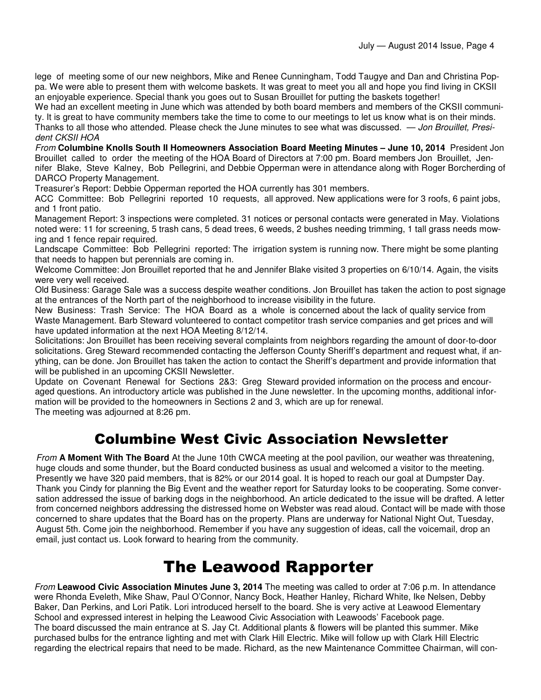lege of meeting some of our new neighbors, Mike and Renee Cunningham, Todd Taugye and Dan and Christina Poppa. We were able to present them with welcome baskets. It was great to meet you all and hope you find living in CKSII an enjoyable experience. Special thank you goes out to Susan Brouillet for putting the baskets together!

We had an excellent meeting in June which was attended by both board members and members of the CKSII community. It is great to have community members take the time to come to our meetings to let us know what is on their minds. Thanks to all those who attended. Please check the June minutes to see what was discussed. — Jon Brouillet, President CKSII HOA

From **Columbine Knolls South II Homeowners Association Board Meeting Minutes – June 10, 2014** President Jon Brouillet called to order the meeting of the HOA Board of Directors at 7:00 pm. Board members Jon Brouillet, Jennifer Blake, Steve Kalney, Bob Pellegrini, and Debbie Opperman were in attendance along with Roger Borcherding of DARCO Property Management.

Treasurer's Report: Debbie Opperman reported the HOA currently has 301 members.

ACC Committee: Bob Pellegrini reported 10 requests, all approved. New applications were for 3 roofs, 6 paint jobs, and 1 front patio.

Management Report: 3 inspections were completed. 31 notices or personal contacts were generated in May. Violations noted were: 11 for screening, 5 trash cans, 5 dead trees, 6 weeds, 2 bushes needing trimming, 1 tall grass needs mowing and 1 fence repair required.

Landscape Committee: Bob Pellegrini reported: The irrigation system is running now. There might be some planting that needs to happen but perennials are coming in.

Welcome Committee: Jon Brouillet reported that he and Jennifer Blake visited 3 properties on 6/10/14. Again, the visits were very well received.

Old Business: Garage Sale was a success despite weather conditions. Jon Brouillet has taken the action to post signage at the entrances of the North part of the neighborhood to increase visibility in the future.

New Business: Trash Service: The HOA Board as a whole is concerned about the lack of quality service from Waste Management. Barb Steward volunteered to contact competitor trash service companies and get prices and will have updated information at the next HOA Meeting 8/12/14.

Solicitations: Jon Brouillet has been receiving several complaints from neighbors regarding the amount of door-to-door solicitations. Greg Steward recommended contacting the Jefferson County Sheriff's department and request what, if anything, can be done. Jon Brouillet has taken the action to contact the Sheriff's department and provide information that will be published in an upcoming CKSII Newsletter.

Update on Covenant Renewal for Sections 2&3: Greg Steward provided information on the process and encouraged questions. An introductory article was published in the June newsletter. In the upcoming months, additional information will be provided to the homeowners in Sections 2 and 3, which are up for renewal.

The meeting was adjourned at 8:26 pm.

#### Columbine West Civic Association Newsletter

From **A Moment With The Board** At the June 10th CWCA meeting at the pool pavilion, our weather was threatening, huge clouds and some thunder, but the Board conducted business as usual and welcomed a visitor to the meeting. Presently we have 320 paid members, that is 82% or our 2014 goal. It is hoped to reach our goal at Dumpster Day. Thank you Cindy for planning the Big Event and the weather report for Saturday looks to be cooperating. Some conversation addressed the issue of barking dogs in the neighborhood. An article dedicated to the issue will be drafted. A letter from concerned neighbors addressing the distressed home on Webster was read aloud. Contact will be made with those concerned to share updates that the Board has on the property. Plans are underway for National Night Out, Tuesday, August 5th. Come join the neighborhood. Remember if you have any suggestion of ideas, call the voicemail, drop an email, just contact us. Look forward to hearing from the community.

## The Leawood Rapporter

From **Leawood Civic Association Minutes June 3, 2014** The meeting was called to order at 7:06 p.m. In attendance were Rhonda Eveleth, Mike Shaw, Paul O'Connor, Nancy Bock, Heather Hanley, Richard White, Ike Nelsen, Debby Baker, Dan Perkins, and Lori Patik. Lori introduced herself to the board. She is very active at Leawood Elementary School and expressed interest in helping the Leawood Civic Association with Leawoods' Facebook page. The board discussed the main entrance at S. Jay Ct. Additional plants & flowers will be planted this summer. Mike purchased bulbs for the entrance lighting and met with Clark Hill Electric. Mike will follow up with Clark Hill Electric regarding the electrical repairs that need to be made. Richard, as the new Maintenance Committee Chairman, will con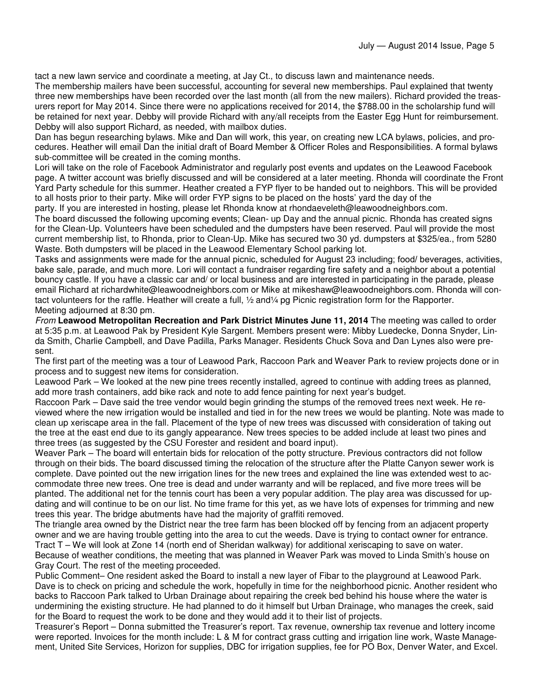tact a new lawn service and coordinate a meeting, at Jay Ct., to discuss lawn and maintenance needs.

The membership mailers have been successful, accounting for several new memberships. Paul explained that twenty three new memberships have been recorded over the last month (all from the new mailers). Richard provided the treasurers report for May 2014. Since there were no applications received for 2014, the \$788.00 in the scholarship fund will be retained for next year. Debby will provide Richard with any/all receipts from the Easter Egg Hunt for reimbursement. Debby will also support Richard, as needed, with mailbox duties.

Dan has begun researching bylaws. Mike and Dan will work, this year, on creating new LCA bylaws, policies, and procedures. Heather will email Dan the initial draft of Board Member & Officer Roles and Responsibilities. A formal bylaws sub-committee will be created in the coming months.

Lori will take on the role of Facebook Administrator and regularly post events and updates on the Leawood Facebook page. A twitter account was briefly discussed and will be considered at a later meeting. Rhonda will coordinate the Front Yard Party schedule for this summer. Heather created a FYP flyer to be handed out to neighbors. This will be provided to all hosts prior to their party. Mike will order FYP signs to be placed on the hosts' yard the day of the

party. If you are interested in hosting, please let Rhonda know at rhondaeveleth@leawoodneighbors.com.

The board discussed the following upcoming events; Clean- up Day and the annual picnic. Rhonda has created signs for the Clean-Up. Volunteers have been scheduled and the dumpsters have been reserved. Paul will provide the most current membership list, to Rhonda, prior to Clean-Up. Mike has secured two 30 yd. dumpsters at \$325/ea., from 5280 Waste. Both dumpsters will be placed in the Leawood Elementary School parking lot.

Tasks and assignments were made for the annual picnic, scheduled for August 23 including; food/ beverages, activities, bake sale, parade, and much more. Lori will contact a fundraiser regarding fire safety and a neighbor about a potential bouncy castle. If you have a classic car and/ or local business and are interested in participating in the parade, please email Richard at richardwhite@leawoodneighbors.com or Mike at mikeshaw@leawoodneighbors.com. Rhonda will contact volunteers for the raffle. Heather will create a full, 1/2 and1/4 pg Picnic registration form for the Rapporter. Meeting adjourned at 8:30 pm.

From **Leawood Metropolitan Recreation and Park District Minutes June 11, 2014** The meeting was called to order at 5:35 p.m. at Leawood Pak by President Kyle Sargent. Members present were: Mibby Luedecke, Donna Snyder, Linda Smith, Charlie Campbell, and Dave Padilla, Parks Manager. Residents Chuck Sova and Dan Lynes also were present.

The first part of the meeting was a tour of Leawood Park, Raccoon Park and Weaver Park to review projects done or in process and to suggest new items for consideration.

Leawood Park – We looked at the new pine trees recently installed, agreed to continue with adding trees as planned, add more trash containers, add bike rack and note to add fence painting for next year's budget.

Raccoon Park – Dave said the tree vendor would begin grinding the stumps of the removed trees next week. He reviewed where the new irrigation would be installed and tied in for the new trees we would be planting. Note was made to clean up xeriscape area in the fall. Placement of the type of new trees was discussed with consideration of taking out the tree at the east end due to its gangly appearance. New trees species to be added include at least two pines and three trees (as suggested by the CSU Forester and resident and board input).

Weaver Park – The board will entertain bids for relocation of the potty structure. Previous contractors did not follow through on their bids. The board discussed timing the relocation of the structure after the Platte Canyon sewer work is complete. Dave pointed out the new irrigation lines for the new trees and explained the line was extended west to accommodate three new trees. One tree is dead and under warranty and will be replaced, and five more trees will be planted. The additional net for the tennis court has been a very popular addition. The play area was discussed for updating and will continue to be on our list. No time frame for this yet, as we have lots of expenses for trimming and new trees this year. The bridge abutments have had the majority of graffiti removed.

The triangle area owned by the District near the tree farm has been blocked off by fencing from an adjacent property owner and we are having trouble getting into the area to cut the weeds. Dave is trying to contact owner for entrance. Tract T – We will look at Zone 14 (north end of Sheridan walkway) for additional xeriscaping to save on water. Because of weather conditions, the meeting that was planned in Weaver Park was moved to Linda Smith's house on Gray Court. The rest of the meeting proceeded.

Public Comment– One resident asked the Board to install a new layer of Fibar to the playground at Leawood Park. Dave is to check on pricing and schedule the work, hopefully in time for the neighborhood picnic. Another resident who backs to Raccoon Park talked to Urban Drainage about repairing the creek bed behind his house where the water is undermining the existing structure. He had planned to do it himself but Urban Drainage, who manages the creek, said for the Board to request the work to be done and they would add it to their list of projects.

Treasurer's Report – Donna submitted the Treasurer's report. Tax revenue, ownership tax revenue and lottery income were reported. Invoices for the month include: L & M for contract grass cutting and irrigation line work, Waste Management, United Site Services, Horizon for supplies, DBC for irrigation supplies, fee for PO Box, Denver Water, and Excel.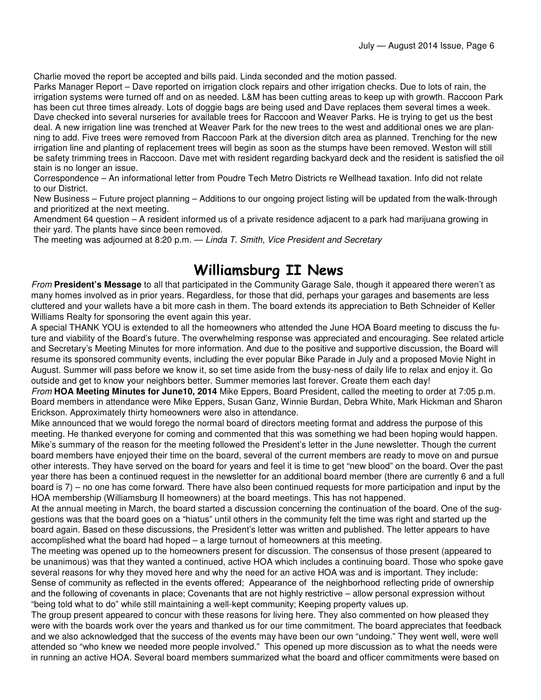Charlie moved the report be accepted and bills paid. Linda seconded and the motion passed.

Parks Manager Report – Dave reported on irrigation clock repairs and other irrigation checks. Due to lots of rain, the irrigation systems were turned off and on as needed. L&M has been cutting areas to keep up with growth. Raccoon Park has been cut three times already. Lots of doggie bags are being used and Dave replaces them several times a week. Dave checked into several nurseries for available trees for Raccoon and Weaver Parks. He is trying to get us the best deal. A new irrigation line was trenched at Weaver Park for the new trees to the west and additional ones we are planning to add. Five trees were removed from Raccoon Park at the diversion ditch area as planned. Trenching for the new irrigation line and planting of replacement trees will begin as soon as the stumps have been removed. Weston will still be safety trimming trees in Raccoon. Dave met with resident regarding backyard deck and the resident is satisfied the oil stain is no longer an issue.

Correspondence – An informational letter from Poudre Tech Metro Districts re Wellhead taxation. Info did not relate to our District.

New Business – Future project planning – Additions to our ongoing project listing will be updated from the walk-through and prioritized at the next meeting.

Amendment 64 question – A resident informed us of a private residence adjacent to a park had marijuana growing in their yard. The plants have since been removed.

The meeting was adjourned at 8:20 p.m. — Linda T. Smith, Vice President and Secretary

### Williamsburg II News

From **President's Message** to all that participated in the Community Garage Sale, though it appeared there weren't as many homes involved as in prior years. Regardless, for those that did, perhaps your garages and basements are less cluttered and your wallets have a bit more cash in them. The board extends its appreciation to Beth Schneider of Keller Williams Realty for sponsoring the event again this year.

A special THANK YOU is extended to all the homeowners who attended the June HOA Board meeting to discuss the future and viability of the Board's future. The overwhelming response was appreciated and encouraging. See related article and Secretary's Meeting Minutes for more information. And due to the positive and supportive discussion, the Board will resume its sponsored community events, including the ever popular Bike Parade in July and a proposed Movie Night in August. Summer will pass before we know it, so set time aside from the busy-ness of daily life to relax and enjoy it. Go outside and get to know your neighbors better. Summer memories last forever. Create them each day!

From **HOA Meeting Minutes for June10, 2014** Mike Eppers, Board President, called the meeting to order at 7:05 p.m. Board members in attendance were Mike Eppers, Susan Ganz, Winnie Burdan, Debra White, Mark Hickman and Sharon Erickson. Approximately thirty homeowners were also in attendance.

Mike announced that we would forego the normal board of directors meeting format and address the purpose of this meeting. He thanked everyone for coming and commented that this was something we had been hoping would happen. Mike's summary of the reason for the meeting followed the President's letter in the June newsletter. Though the current board members have enjoyed their time on the board, several of the current members are ready to move on and pursue other interests. They have served on the board for years and feel it is time to get "new blood" on the board. Over the past year there has been a continued request in the newsletter for an additional board member (there are currently 6 and a full board is 7) – no one has come forward. There have also been continued requests for more participation and input by the HOA membership (Williamsburg II homeowners) at the board meetings. This has not happened.

At the annual meeting in March, the board started a discussion concerning the continuation of the board. One of the suggestions was that the board goes on a "hiatus" until others in the community felt the time was right and started up the board again. Based on these discussions, the President's letter was written and published. The letter appears to have accomplished what the board had hoped – a large turnout of homeowners at this meeting.

The meeting was opened up to the homeowners present for discussion. The consensus of those present (appeared to be unanimous) was that they wanted a continued, active HOA which includes a continuing board. Those who spoke gave several reasons for why they moved here and why the need for an active HOA was and is important. They include: Sense of community as reflected in the events offered; Appearance of the neighborhood reflecting pride of ownership and the following of covenants in place; Covenants that are not highly restrictive – allow personal expression without "being told what to do" while still maintaining a well-kept community; Keeping property values up.

The group present appeared to concur with these reasons for living here. They also commented on how pleased they were with the boards work over the years and thanked us for our time commitment. The board appreciates that feedback and we also acknowledged that the success of the events may have been our own "undoing." They went well, were well attended so "who knew we needed more people involved." This opened up more discussion as to what the needs were in running an active HOA. Several board members summarized what the board and officer commitments were based on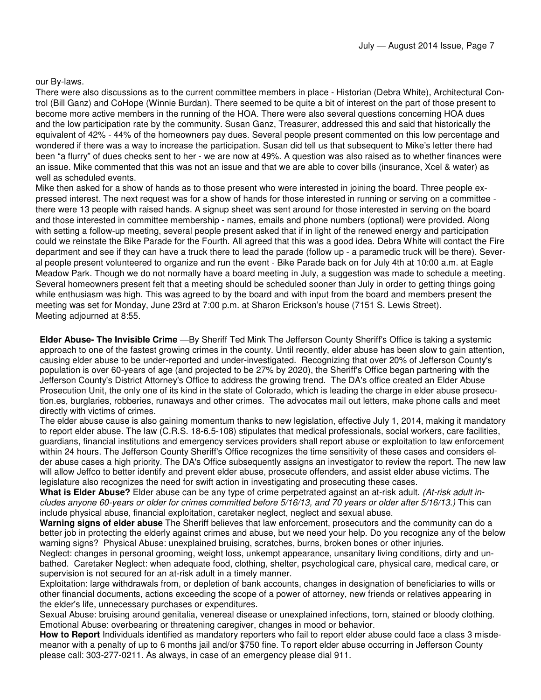#### our By-laws.

There were also discussions as to the current committee members in place - Historian (Debra White), Architectural Control (Bill Ganz) and CoHope (Winnie Burdan). There seemed to be quite a bit of interest on the part of those present to become more active members in the running of the HOA. There were also several questions concerning HOA dues and the low participation rate by the community. Susan Ganz, Treasurer, addressed this and said that historically the equivalent of 42% - 44% of the homeowners pay dues. Several people present commented on this low percentage and wondered if there was a way to increase the participation. Susan did tell us that subsequent to Mike's letter there had been "a flurry" of dues checks sent to her - we are now at 49%. A question was also raised as to whether finances were an issue. Mike commented that this was not an issue and that we are able to cover bills (insurance, Xcel & water) as well as scheduled events.

Mike then asked for a show of hands as to those present who were interested in joining the board. Three people expressed interest. The next request was for a show of hands for those interested in running or serving on a committee there were 13 people with raised hands. A signup sheet was sent around for those interested in serving on the board and those interested in committee membership - names, emails and phone numbers (optional) were provided. Along with setting a follow-up meeting, several people present asked that if in light of the renewed energy and participation could we reinstate the Bike Parade for the Fourth. All agreed that this was a good idea. Debra White will contact the Fire department and see if they can have a truck there to lead the parade (follow up - a paramedic truck will be there). Several people present volunteered to organize and run the event - Bike Parade back on for July 4th at 10:00 a.m. at Eagle Meadow Park. Though we do not normally have a board meeting in July, a suggestion was made to schedule a meeting. Several homeowners present felt that a meeting should be scheduled sooner than July in order to getting things going while enthusiasm was high. This was agreed to by the board and with input from the board and members present the meeting was set for Monday, June 23rd at 7:00 p.m. at Sharon Erickson's house (7151 S. Lewis Street). Meeting adjourned at 8:55.

**Elder Abuse- The Invisible Crime** —By Sheriff Ted Mink The Jefferson County Sheriff's Office is taking a systemic approach to one of the fastest growing crimes in the county. Until recently, elder abuse has been slow to gain attention, causing elder abuse to be under-reported and under-investigated. Recognizing that over 20% of Jefferson County's population is over 60-years of age (and projected to be 27% by 2020), the Sheriff's Office began partnering with the Jefferson County's District Attorney's Office to address the growing trend. The DA's office created an Elder Abuse Prosecution Unit, the only one of its kind in the state of Colorado, which is leading the charge in elder abuse prosecution.es, burglaries, robberies, runaways and other crimes. The advocates mail out letters, make phone calls and meet directly with victims of crimes.

The elder abuse cause is also gaining momentum thanks to new legislation, effective July 1, 2014, making it mandatory to report elder abuse. The law (C.R.S. 18-6.5-108) stipulates that medical professionals, social workers, care facilities, guardians, financial institutions and emergency services providers shall report abuse or exploitation to law enforcement within 24 hours. The Jefferson County Sheriff's Office recognizes the time sensitivity of these cases and considers elder abuse cases a high priority. The DA's Office subsequently assigns an investigator to review the report. The new law will allow Jeffco to better identify and prevent elder abuse, prosecute offenders, and assist elder abuse victims. The legislature also recognizes the need for swift action in investigating and prosecuting these cases.

**What is Elder Abuse?** Elder abuse can be any type of crime perpetrated against an at-risk adult. (At-risk adult includes anyone 60-years or older for crimes committed before 5/16/13, and 70 years or older after 5/16/13.) This can include physical abuse, financial exploitation, caretaker neglect, neglect and sexual abuse.

**Warning signs of elder abuse** The Sheriff believes that law enforcement, prosecutors and the community can do a better job in protecting the elderly against crimes and abuse, but we need your help. Do you recognize any of the below warning signs? Physical Abuse: unexplained bruising, scratches, burns, broken bones or other injuries.

Neglect: changes in personal grooming, weight loss, unkempt appearance, unsanitary living conditions, dirty and unbathed. Caretaker Neglect: when adequate food, clothing, shelter, psychological care, physical care, medical care, or supervision is not secured for an at-risk adult in a timely manner.

Exploitation: large withdrawals from, or depletion of bank accounts, changes in designation of beneficiaries to wills or other financial documents, actions exceeding the scope of a power of attorney, new friends or relatives appearing in the elder's life, unnecessary purchases or expenditures.

Sexual Abuse: bruising around genitalia, venereal disease or unexplained infections, torn, stained or bloody clothing. Emotional Abuse: overbearing or threatening caregiver, changes in mood or behavior.

**How to Report** Individuals identified as mandatory reporters who fail to report elder abuse could face a class 3 misdemeanor with a penalty of up to 6 months jail and/or \$750 fine. To report elder abuse occurring in Jefferson County please call: 303-277-0211. As always, in case of an emergency please dial 911.